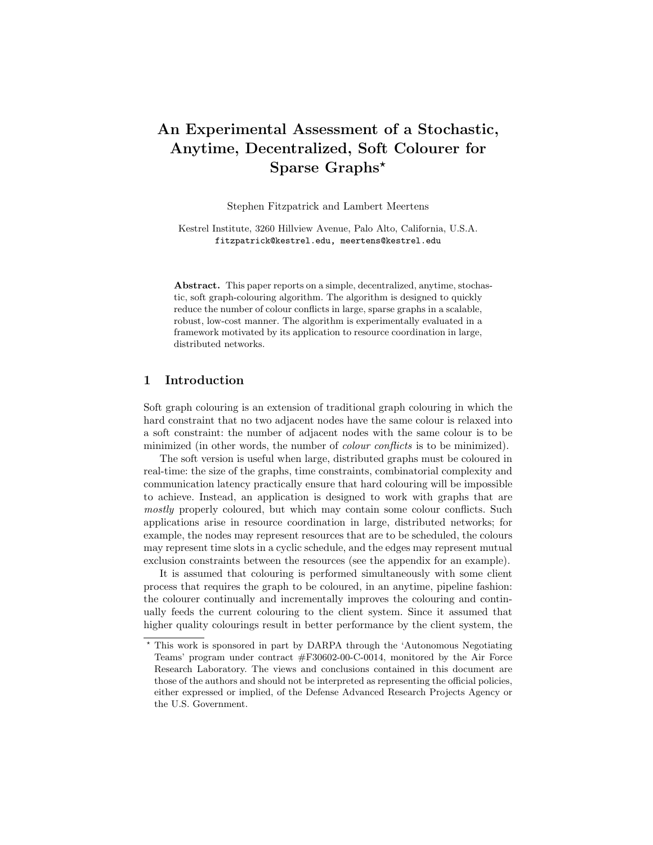# An Experimental Assessment of a Stochastic, Anytime, Decentralized, Soft Colourer for Sparse Graphs?

Stephen Fitzpatrick and Lambert Meertens

Kestrel Institute, 3260 Hillview Avenue, Palo Alto, California, U.S.A. fitzpatrick@kestrel.edu, meertens@kestrel.edu

Abstract. This paper reports on a simple, decentralized, anytime, stochastic, soft graph-colouring algorithm. The algorithm is designed to quickly reduce the number of colour conflicts in large, sparse graphs in a scalable, robust, low-cost manner. The algorithm is experimentally evaluated in a framework motivated by its application to resource coordination in large, distributed networks.

### 1 Introduction

Soft graph colouring is an extension of traditional graph colouring in which the hard constraint that no two adjacent nodes have the same colour is relaxed into a soft constraint: the number of adjacent nodes with the same colour is to be minimized (in other words, the number of *colour conflicts* is to be minimized).

The soft version is useful when large, distributed graphs must be coloured in real-time: the size of the graphs, time constraints, combinatorial complexity and communication latency practically ensure that hard colouring will be impossible to achieve. Instead, an application is designed to work with graphs that are mostly properly coloured, but which may contain some colour conflicts. Such applications arise in resource coordination in large, distributed networks; for example, the nodes may represent resources that are to be scheduled, the colours may represent time slots in a cyclic schedule, and the edges may represent mutual exclusion constraints between the resources (see the appendix for an example).

It is assumed that colouring is performed simultaneously with some client process that requires the graph to be coloured, in an anytime, pipeline fashion: the colourer continually and incrementally improves the colouring and continually feeds the current colouring to the client system. Since it assumed that higher quality colourings result in better performance by the client system, the

<sup>?</sup> This work is sponsored in part by DARPA through the 'Autonomous Negotiating Teams' program under contract #F30602-00-C-0014, monitored by the Air Force Research Laboratory. The views and conclusions contained in this document are those of the authors and should not be interpreted as representing the official policies, either expressed or implied, of the Defense Advanced Research Projects Agency or the U.S. Government.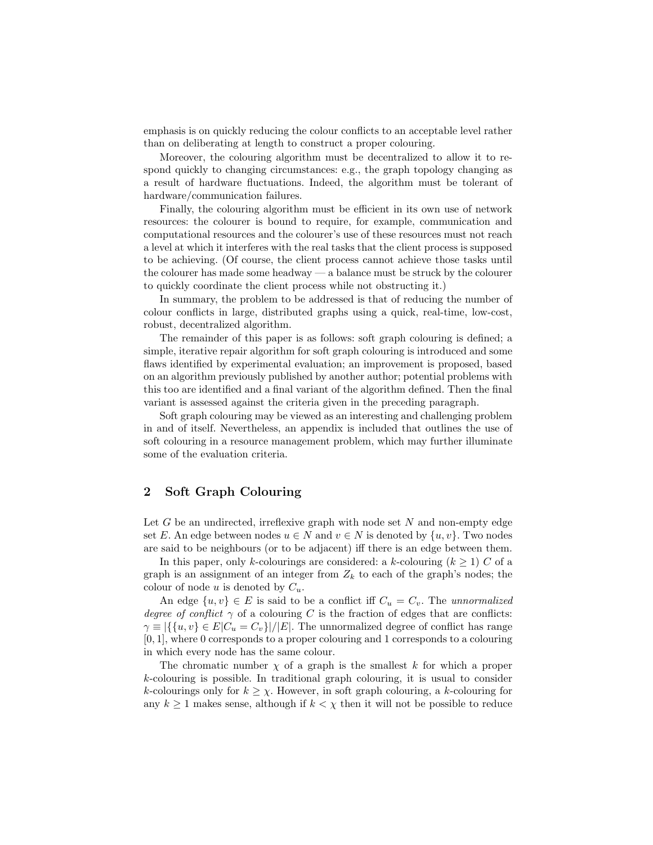emphasis is on quickly reducing the colour conflicts to an acceptable level rather than on deliberating at length to construct a proper colouring.

Moreover, the colouring algorithm must be decentralized to allow it to respond quickly to changing circumstances: e.g., the graph topology changing as a result of hardware fluctuations. Indeed, the algorithm must be tolerant of hardware/communication failures.

Finally, the colouring algorithm must be efficient in its own use of network resources: the colourer is bound to require, for example, communication and computational resources and the colourer's use of these resources must not reach a level at which it interferes with the real tasks that the client process is supposed to be achieving. (Of course, the client process cannot achieve those tasks until the colourer has made some headway  $-\alpha$  balance must be struck by the colourer to quickly coordinate the client process while not obstructing it.)

In summary, the problem to be addressed is that of reducing the number of colour conflicts in large, distributed graphs using a quick, real-time, low-cost, robust, decentralized algorithm.

The remainder of this paper is as follows: soft graph colouring is defined; a simple, iterative repair algorithm for soft graph colouring is introduced and some flaws identified by experimental evaluation; an improvement is proposed, based on an algorithm previously published by another author; potential problems with this too are identified and a final variant of the algorithm defined. Then the final variant is assessed against the criteria given in the preceding paragraph.

Soft graph colouring may be viewed as an interesting and challenging problem in and of itself. Nevertheless, an appendix is included that outlines the use of soft colouring in a resource management problem, which may further illuminate some of the evaluation criteria.

# 2 Soft Graph Colouring

Let  $G$  be an undirected, irreflexive graph with node set  $N$  and non-empty edge set E. An edge between nodes  $u \in N$  and  $v \in N$  is denoted by  $\{u, v\}$ . Two nodes are said to be neighbours (or to be adjacent) iff there is an edge between them.

In this paper, only k-colourings are considered: a k-colouring  $(k \geq 1)$  C of a graph is an assignment of an integer from  $Z_k$  to each of the graph's nodes; the colour of node u is denoted by  $C_u$ .

An edge  $\{u, v\} \in E$  is said to be a conflict iff  $C_u = C_v$ . The unnormalized degree of conflict  $\gamma$  of a colouring C is the fraction of edges that are conflicts:  $\gamma \equiv |\{\{u, v\} \in E | C_u = C_v\}|/|E|$ . The unnormalized degree of conflict has range [0, 1], where 0 corresponds to a proper colouring and 1 corresponds to a colouring in which every node has the same colour.

The chromatic number  $\chi$  of a graph is the smallest k for which a proper k-colouring is possible. In traditional graph colouring, it is usual to consider k-colourings only for  $k \geq \chi$ . However, in soft graph colouring, a k-colouring for any  $k \geq 1$  makes sense, although if  $k < \chi$  then it will not be possible to reduce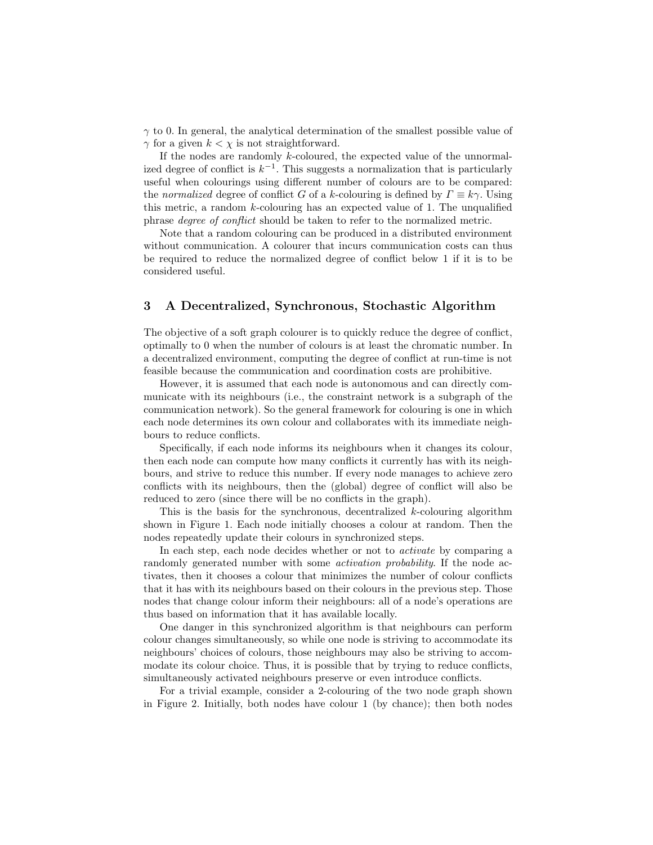$\gamma$  to 0. In general, the analytical determination of the smallest possible value of  $\gamma$  for a given  $k < \chi$  is not straightforward.

If the nodes are randomly k-coloured, the expected value of the unnormalized degree of conflict is  $k^{-1}$ . This suggests a normalization that is particularly useful when colourings using different number of colours are to be compared: the normalized degree of conflict G of a k-colouring is defined by  $\Gamma \equiv k\gamma$ . Using this metric, a random k-colouring has an expected value of 1. The unqualified phrase degree of conflict should be taken to refer to the normalized metric.

Note that a random colouring can be produced in a distributed environment without communication. A colourer that incurs communication costs can thus be required to reduce the normalized degree of conflict below 1 if it is to be considered useful.

# 3 A Decentralized, Synchronous, Stochastic Algorithm

The objective of a soft graph colourer is to quickly reduce the degree of conflict, optimally to 0 when the number of colours is at least the chromatic number. In a decentralized environment, computing the degree of conflict at run-time is not feasible because the communication and coordination costs are prohibitive.

However, it is assumed that each node is autonomous and can directly communicate with its neighbours (i.e., the constraint network is a subgraph of the communication network). So the general framework for colouring is one in which each node determines its own colour and collaborates with its immediate neighbours to reduce conflicts.

Specifically, if each node informs its neighbours when it changes its colour, then each node can compute how many conflicts it currently has with its neighbours, and strive to reduce this number. If every node manages to achieve zero conflicts with its neighbours, then the (global) degree of conflict will also be reduced to zero (since there will be no conflicts in the graph).

This is the basis for the synchronous, decentralized k-colouring algorithm shown in Figure 1. Each node initially chooses a colour at random. Then the nodes repeatedly update their colours in synchronized steps.

In each step, each node decides whether or not to activate by comparing a randomly generated number with some *activation probability*. If the node activates, then it chooses a colour that minimizes the number of colour conflicts that it has with its neighbours based on their colours in the previous step. Those nodes that change colour inform their neighbours: all of a node's operations are thus based on information that it has available locally.

One danger in this synchronized algorithm is that neighbours can perform colour changes simultaneously, so while one node is striving to accommodate its neighbours' choices of colours, those neighbours may also be striving to accommodate its colour choice. Thus, it is possible that by trying to reduce conflicts, simultaneously activated neighbours preserve or even introduce conflicts.

For a trivial example, consider a 2-colouring of the two node graph shown in Figure 2. Initially, both nodes have colour 1 (by chance); then both nodes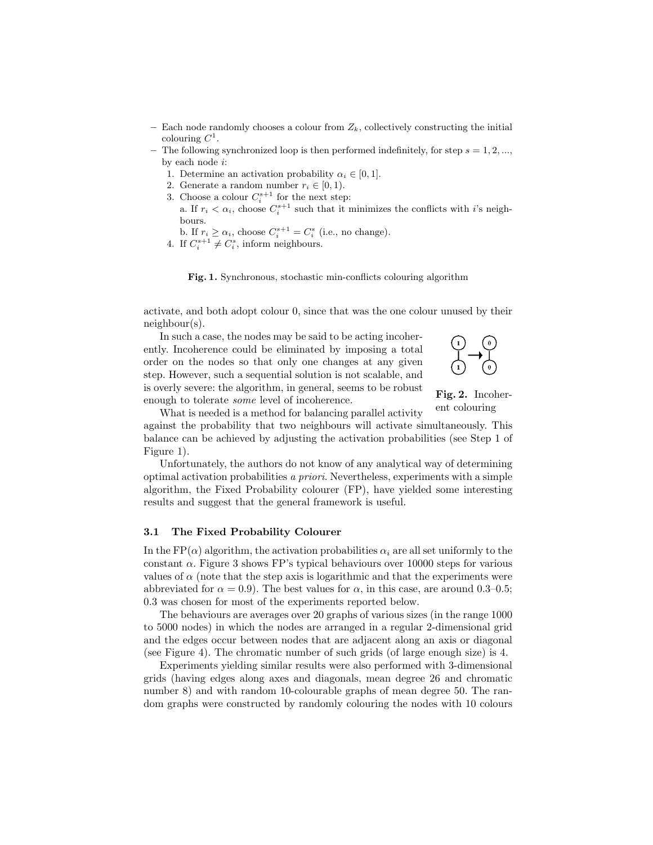- Each node randomly chooses a colour from  $Z_k$ , collectively constructing the initial colouring  $C^1$ .
- The following synchronized loop is then performed indefinitely, for step  $s = 1, 2, \ldots$ , by each node i:
	- 1. Determine an activation probability  $\alpha_i \in [0,1]$ .
	- 2. Generate a random number  $r_i \in [0, 1)$ .
	- 3. Choose a colour  $C_i^{s+1}$  for the next step:
	- a. If  $r_i < \alpha_i$ , choose  $C_i^{s+1}$  such that it minimizes the conflicts with *i*'s neighbours.
	- b. If  $r_i \geq \alpha_i$ , choose  $C_i^{s+1} = C_i^s$  (i.e., no change).
	- 4. If  $C_i^{s+1} \neq C_i^s$ , inform neighbours.

Fig. 1. Synchronous, stochastic min-conflicts colouring algorithm

activate, and both adopt colour 0, since that was the one colour unused by their neighbour(s).

In such a case, the nodes may be said to be acting incoherently. Incoherence could be eliminated by imposing a total order on the nodes so that only one changes at any given step. However, such a sequential solution is not scalable, and is overly severe: the algorithm, in general, seems to be robust enough to tolerate some level of incoherence.





What is needed is a method for balancing parallel activity against the probability that two neighbours will activate simultaneously. This balance can be achieved by adjusting the activation probabilities (see Step 1 of Figure 1).

Unfortunately, the authors do not know of any analytical way of determining optimal activation probabilities a priori. Nevertheless, experiments with a simple algorithm, the Fixed Probability colourer (FP), have yielded some interesting results and suggest that the general framework is useful.

#### 3.1 The Fixed Probability Colourer

In the FP( $\alpha$ ) algorithm, the activation probabilities  $\alpha_i$  are all set uniformly to the constant  $\alpha$ . Figure 3 shows FP's typical behaviours over 10000 steps for various values of  $\alpha$  (note that the step axis is logarithmic and that the experiments were abbreviated for  $\alpha = 0.9$ ). The best values for  $\alpha$ , in this case, are around 0.3–0.5; 0.3 was chosen for most of the experiments reported below.

The behaviours are averages over 20 graphs of various sizes (in the range 1000 to 5000 nodes) in which the nodes are arranged in a regular 2-dimensional grid and the edges occur between nodes that are adjacent along an axis or diagonal (see Figure 4). The chromatic number of such grids (of large enough size) is 4.

Experiments yielding similar results were also performed with 3-dimensional grids (having edges along axes and diagonals, mean degree 26 and chromatic number 8) and with random 10-colourable graphs of mean degree 50. The random graphs were constructed by randomly colouring the nodes with 10 colours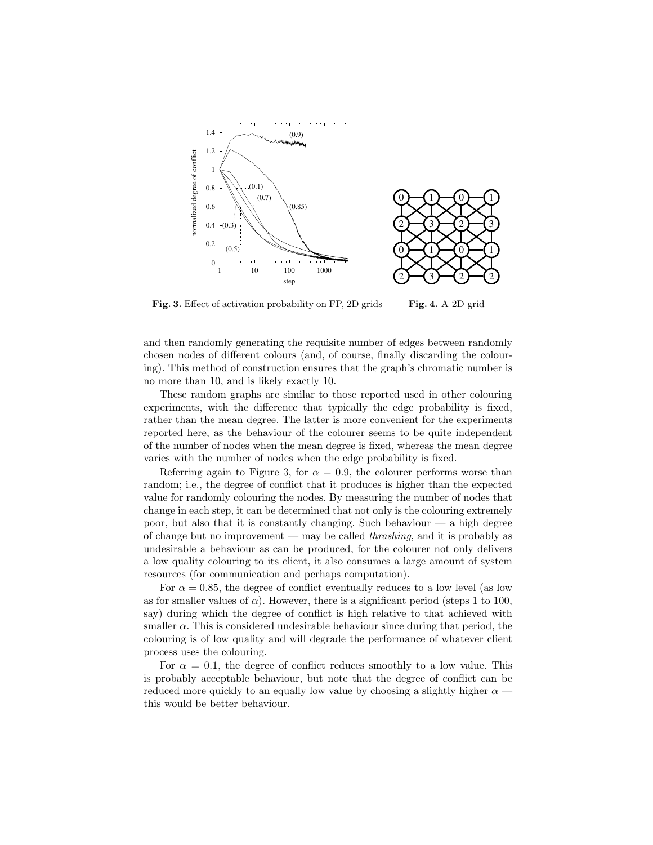

Fig. 3. Effect of activation probability on FP, 2D grids Fig. 4. A 2D grid

and then randomly generating the requisite number of edges between randomly chosen nodes of different colours (and, of course, finally discarding the colouring). This method of construction ensures that the graph's chromatic number is no more than 10, and is likely exactly 10.

These random graphs are similar to those reported used in other colouring experiments, with the difference that typically the edge probability is fixed, rather than the mean degree. The latter is more convenient for the experiments reported here, as the behaviour of the colourer seems to be quite independent of the number of nodes when the mean degree is fixed, whereas the mean degree varies with the number of nodes when the edge probability is fixed.

Referring again to Figure 3, for  $\alpha = 0.9$ , the colourer performs worse than random; i.e., the degree of conflict that it produces is higher than the expected value for randomly colouring the nodes. By measuring the number of nodes that change in each step, it can be determined that not only is the colouring extremely poor, but also that it is constantly changing. Such behaviour  $-$  a high degree of change but no improvement — may be called thrashing, and it is probably as undesirable a behaviour as can be produced, for the colourer not only delivers a low quality colouring to its client, it also consumes a large amount of system resources (for communication and perhaps computation).

For  $\alpha = 0.85$ , the degree of conflict eventually reduces to a low level (as low as for smaller values of  $\alpha$ ). However, there is a significant period (steps 1 to 100, say) during which the degree of conflict is high relative to that achieved with smaller  $\alpha$ . This is considered undesirable behaviour since during that period, the colouring is of low quality and will degrade the performance of whatever client process uses the colouring.

For  $\alpha = 0.1$ , the degree of conflict reduces smoothly to a low value. This is probably acceptable behaviour, but note that the degree of conflict can be reduced more quickly to an equally low value by choosing a slightly higher  $\alpha$  this would be better behaviour.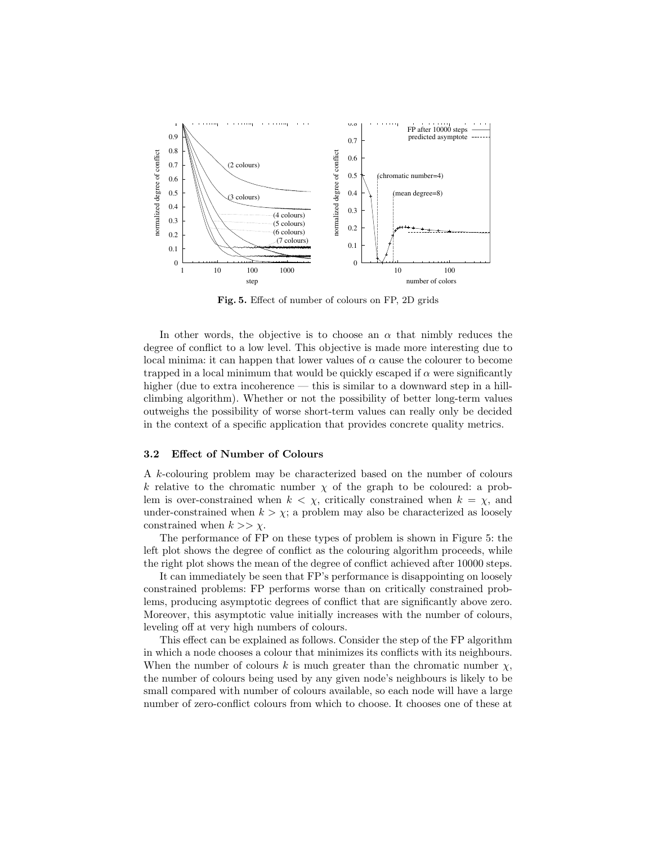

Fig. 5. Effect of number of colours on FP, 2D grids

In other words, the objective is to choose an  $\alpha$  that nimbly reduces the degree of conflict to a low level. This objective is made more interesting due to local minima: it can happen that lower values of  $\alpha$  cause the colourer to become trapped in a local minimum that would be quickly escaped if  $\alpha$  were significantly higher (due to extra incoherence — this is similar to a downward step in a hillclimbing algorithm). Whether or not the possibility of better long-term values outweighs the possibility of worse short-term values can really only be decided in the context of a specific application that provides concrete quality metrics.

#### 3.2 Effect of Number of Colours

A k-colouring problem may be characterized based on the number of colours k relative to the chromatic number  $\chi$  of the graph to be coloured: a problem is over-constrained when  $k < \chi$ , critically constrained when  $k = \chi$ , and under-constrained when  $k > \chi$ ; a problem may also be characterized as loosely constrained when  $k >> \chi$ .

The performance of FP on these types of problem is shown in Figure 5: the left plot shows the degree of conflict as the colouring algorithm proceeds, while the right plot shows the mean of the degree of conflict achieved after 10000 steps.

It can immediately be seen that FP's performance is disappointing on loosely constrained problems: FP performs worse than on critically constrained problems, producing asymptotic degrees of conflict that are significantly above zero. Moreover, this asymptotic value initially increases with the number of colours, leveling off at very high numbers of colours.

This effect can be explained as follows. Consider the step of the FP algorithm in which a node chooses a colour that minimizes its conflicts with its neighbours. When the number of colours k is much greater than the chromatic number  $\chi$ , the number of colours being used by any given node's neighbours is likely to be small compared with number of colours available, so each node will have a large number of zero-conflict colours from which to choose. It chooses one of these at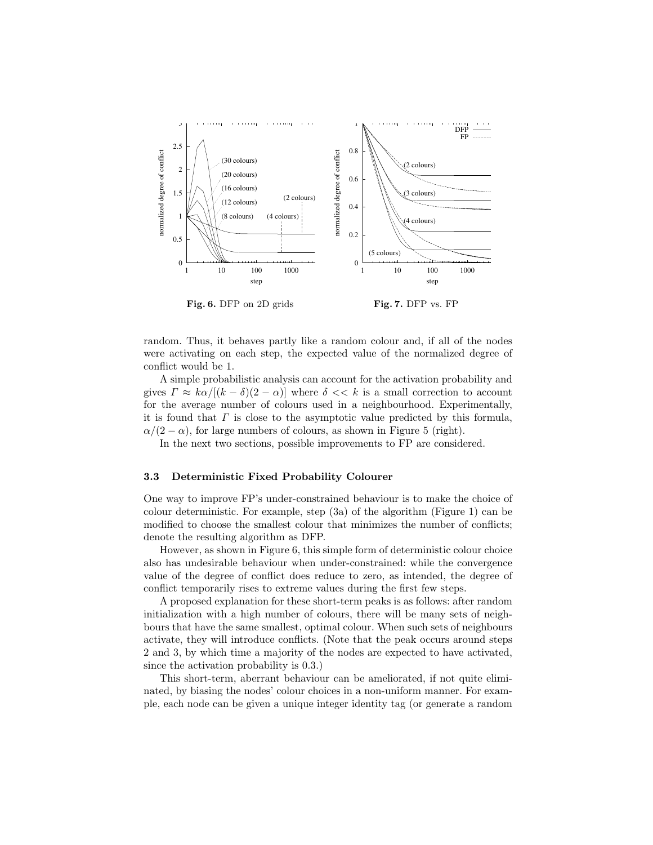

Fig. 6. DFP on 2D grids Fig. 7. DFP vs. FP

random. Thus, it behaves partly like a random colour and, if all of the nodes were activating on each step, the expected value of the normalized degree of conflict would be 1.

A simple probabilistic analysis can account for the activation probability and gives  $\Gamma \approx k\alpha/[(k-\delta)(2-\alpha)]$  where  $\delta \ll k$  is a small correction to account for the average number of colours used in a neighbourhood. Experimentally, it is found that  $\Gamma$  is close to the asymptotic value predicted by this formula,  $\alpha/(2-\alpha)$ , for large numbers of colours, as shown in Figure 5 (right).

In the next two sections, possible improvements to FP are considered.

#### 3.3 Deterministic Fixed Probability Colourer

One way to improve FP's under-constrained behaviour is to make the choice of colour deterministic. For example, step (3a) of the algorithm (Figure 1) can be modified to choose the smallest colour that minimizes the number of conflicts; denote the resulting algorithm as DFP.

However, as shown in Figure 6, this simple form of deterministic colour choice also has undesirable behaviour when under-constrained: while the convergence value of the degree of conflict does reduce to zero, as intended, the degree of conflict temporarily rises to extreme values during the first few steps.

A proposed explanation for these short-term peaks is as follows: after random initialization with a high number of colours, there will be many sets of neighbours that have the same smallest, optimal colour. When such sets of neighbours activate, they will introduce conflicts. (Note that the peak occurs around steps 2 and 3, by which time a majority of the nodes are expected to have activated, since the activation probability is 0.3.)

This short-term, aberrant behaviour can be ameliorated, if not quite eliminated, by biasing the nodes' colour choices in a non-uniform manner. For example, each node can be given a unique integer identity tag (or generate a random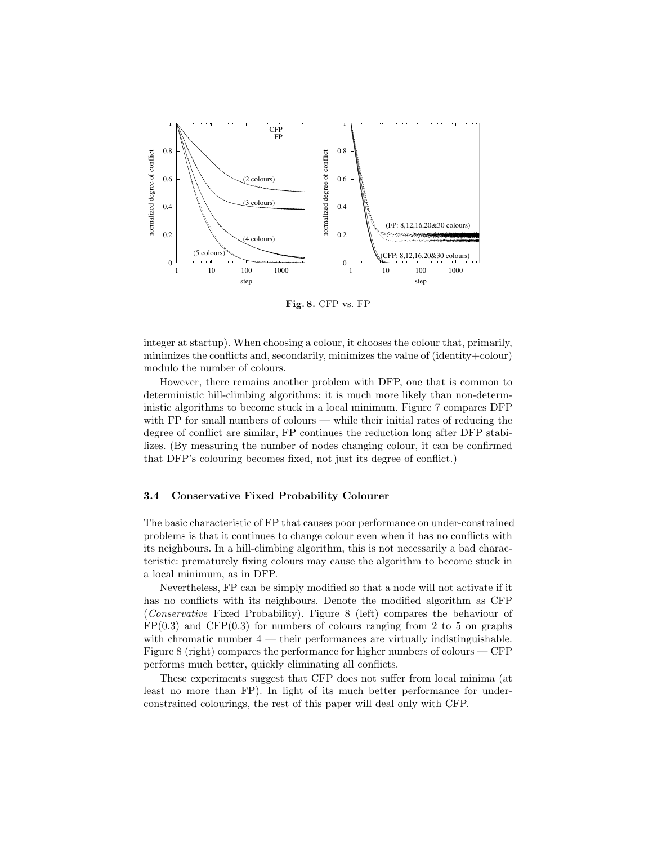

Fig. 8. CFP vs. FP

integer at startup). When choosing a colour, it chooses the colour that, primarily, minimizes the conflicts and, secondarily, minimizes the value of (identity+colour) modulo the number of colours.

However, there remains another problem with DFP, one that is common to deterministic hill-climbing algorithms: it is much more likely than non-deterministic algorithms to become stuck in a local minimum. Figure 7 compares DFP with FP for small numbers of colours — while their initial rates of reducing the degree of conflict are similar, FP continues the reduction long after DFP stabilizes. (By measuring the number of nodes changing colour, it can be confirmed that DFP's colouring becomes fixed, not just its degree of conflict.)

### 3.4 Conservative Fixed Probability Colourer

The basic characteristic of FP that causes poor performance on under-constrained problems is that it continues to change colour even when it has no conflicts with its neighbours. In a hill-climbing algorithm, this is not necessarily a bad characteristic: prematurely fixing colours may cause the algorithm to become stuck in a local minimum, as in DFP.

Nevertheless, FP can be simply modified so that a node will not activate if it has no conflicts with its neighbours. Denote the modified algorithm as CFP (Conservative Fixed Probability). Figure 8 (left) compares the behaviour of  $FP(0.3)$  and  $CFP(0.3)$  for numbers of colours ranging from 2 to 5 on graphs with chromatic number  $4$  — their performances are virtually indistinguishable. Figure 8 (right) compares the performance for higher numbers of colours — CFP performs much better, quickly eliminating all conflicts.

These experiments suggest that CFP does not suffer from local minima (at least no more than FP). In light of its much better performance for underconstrained colourings, the rest of this paper will deal only with CFP.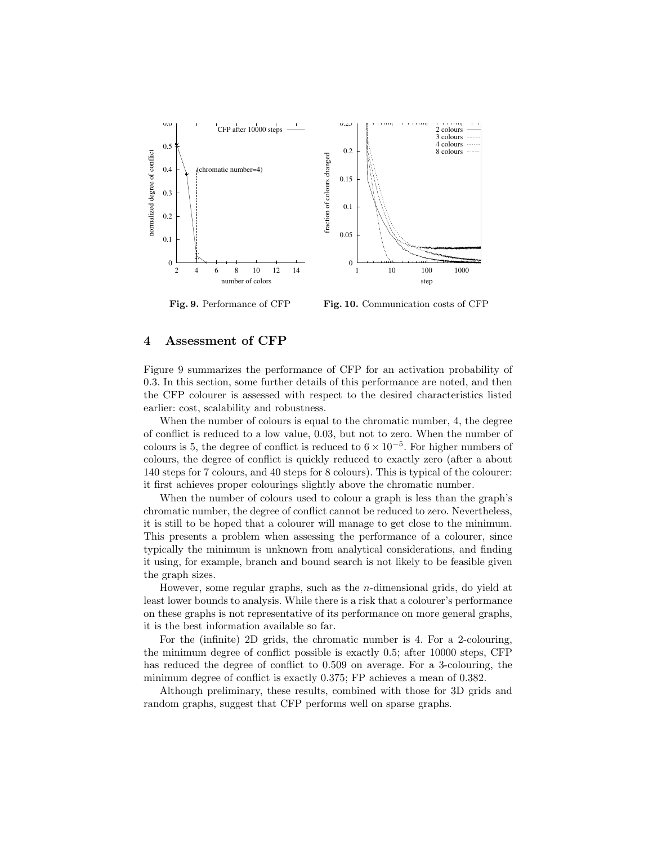

Fig. 9. Performance of CFP

Fig. 10. Communication costs of CFP

### 4 Assessment of CFP

Figure 9 summarizes the performance of CFP for an activation probability of 0.3. In this section, some further details of this performance are noted, and then the CFP colourer is assessed with respect to the desired characteristics listed earlier: cost, scalability and robustness.

When the number of colours is equal to the chromatic number, 4, the degree of conflict is reduced to a low value, 0.03, but not to zero. When the number of colours is 5, the degree of conflict is reduced to  $6 \times 10^{-5}$ . For higher numbers of colours, the degree of conflict is quickly reduced to exactly zero (after a about 140 steps for 7 colours, and 40 steps for 8 colours). This is typical of the colourer: it first achieves proper colourings slightly above the chromatic number.

When the number of colours used to colour a graph is less than the graph's chromatic number, the degree of conflict cannot be reduced to zero. Nevertheless, it is still to be hoped that a colourer will manage to get close to the minimum. This presents a problem when assessing the performance of a colourer, since typically the minimum is unknown from analytical considerations, and finding it using, for example, branch and bound search is not likely to be feasible given the graph sizes.

However, some regular graphs, such as the n-dimensional grids, do yield at least lower bounds to analysis. While there is a risk that a colourer's performance on these graphs is not representative of its performance on more general graphs, it is the best information available so far.

For the (infinite) 2D grids, the chromatic number is 4. For a 2-colouring, the minimum degree of conflict possible is exactly 0.5; after 10000 steps, CFP has reduced the degree of conflict to 0.509 on average. For a 3-colouring, the minimum degree of conflict is exactly 0.375; FP achieves a mean of 0.382.

Although preliminary, these results, combined with those for 3D grids and random graphs, suggest that CFP performs well on sparse graphs.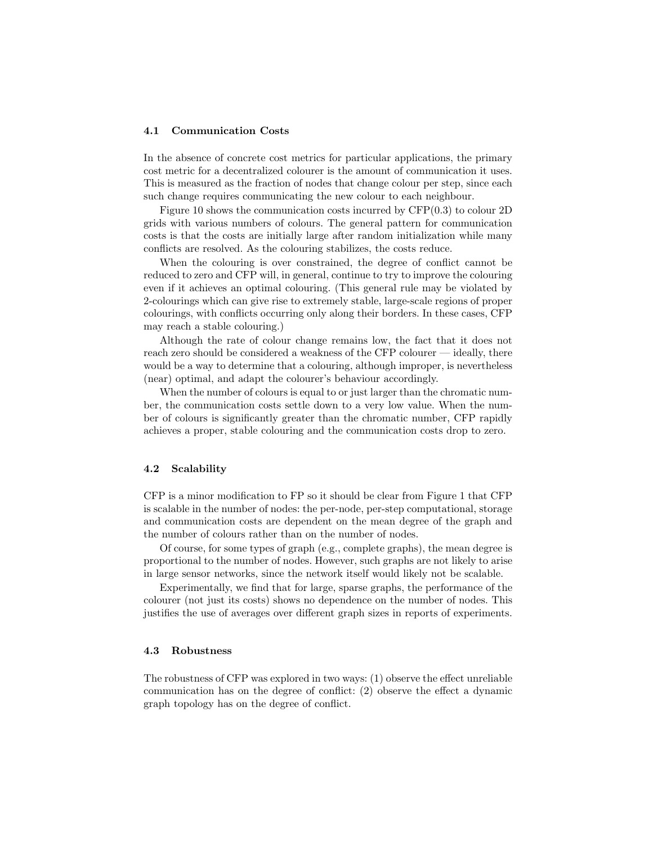#### 4.1 Communication Costs

In the absence of concrete cost metrics for particular applications, the primary cost metric for a decentralized colourer is the amount of communication it uses. This is measured as the fraction of nodes that change colour per step, since each such change requires communicating the new colour to each neighbour.

Figure 10 shows the communication costs incurred by CFP(0.3) to colour 2D grids with various numbers of colours. The general pattern for communication costs is that the costs are initially large after random initialization while many conflicts are resolved. As the colouring stabilizes, the costs reduce.

When the colouring is over constrained, the degree of conflict cannot be reduced to zero and CFP will, in general, continue to try to improve the colouring even if it achieves an optimal colouring. (This general rule may be violated by 2-colourings which can give rise to extremely stable, large-scale regions of proper colourings, with conflicts occurring only along their borders. In these cases, CFP may reach a stable colouring.)

Although the rate of colour change remains low, the fact that it does not reach zero should be considered a weakness of the CFP colourer — ideally, there would be a way to determine that a colouring, although improper, is nevertheless (near) optimal, and adapt the colourer's behaviour accordingly.

When the number of colours is equal to or just larger than the chromatic number, the communication costs settle down to a very low value. When the number of colours is significantly greater than the chromatic number, CFP rapidly achieves a proper, stable colouring and the communication costs drop to zero.

### 4.2 Scalability

CFP is a minor modification to FP so it should be clear from Figure 1 that CFP is scalable in the number of nodes: the per-node, per-step computational, storage and communication costs are dependent on the mean degree of the graph and the number of colours rather than on the number of nodes.

Of course, for some types of graph (e.g., complete graphs), the mean degree is proportional to the number of nodes. However, such graphs are not likely to arise in large sensor networks, since the network itself would likely not be scalable.

Experimentally, we find that for large, sparse graphs, the performance of the colourer (not just its costs) shows no dependence on the number of nodes. This justifies the use of averages over different graph sizes in reports of experiments.

### 4.3 Robustness

The robustness of CFP was explored in two ways: (1) observe the effect unreliable communication has on the degree of conflict: (2) observe the effect a dynamic graph topology has on the degree of conflict.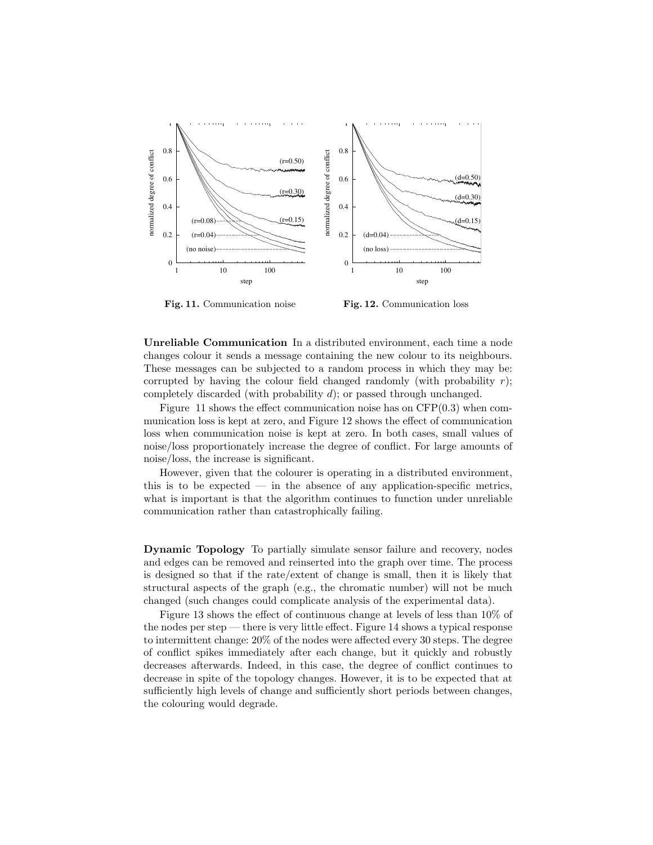

Fig. 11. Communication noise

Fig. 12. Communication loss

Unreliable Communication In a distributed environment, each time a node changes colour it sends a message containing the new colour to its neighbours. These messages can be subjected to a random process in which they may be: corrupted by having the colour field changed randomly (with probability  $r$ ); completely discarded (with probability  $d$ ); or passed through unchanged.

Figure 11 shows the effect communication noise has on  $CFP(0.3)$  when communication loss is kept at zero, and Figure 12 shows the effect of communication loss when communication noise is kept at zero. In both cases, small values of noise/loss proportionately increase the degree of conflict. For large amounts of noise/loss, the increase is significant.

However, given that the colourer is operating in a distributed environment, this is to be expected  $-$  in the absence of any application-specific metrics, what is important is that the algorithm continues to function under unreliable communication rather than catastrophically failing.

Dynamic Topology To partially simulate sensor failure and recovery, nodes and edges can be removed and reinserted into the graph over time. The process is designed so that if the rate/extent of change is small, then it is likely that structural aspects of the graph (e.g., the chromatic number) will not be much changed (such changes could complicate analysis of the experimental data).

Figure 13 shows the effect of continuous change at levels of less than 10% of the nodes per step — there is very little effect. Figure 14 shows a typical response to intermittent change: 20% of the nodes were affected every 30 steps. The degree of conflict spikes immediately after each change, but it quickly and robustly decreases afterwards. Indeed, in this case, the degree of conflict continues to decrease in spite of the topology changes. However, it is to be expected that at sufficiently high levels of change and sufficiently short periods between changes, the colouring would degrade.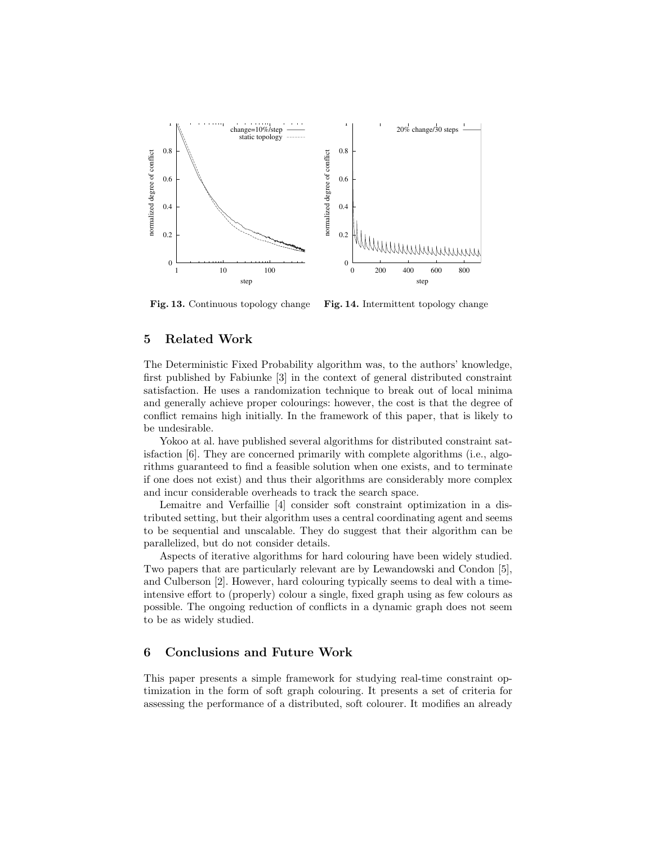

Fig. 13. Continuous topology change

Fig. 14. Intermittent topology change

### 5 Related Work

The Deterministic Fixed Probability algorithm was, to the authors' knowledge, first published by Fabiunke [3] in the context of general distributed constraint satisfaction. He uses a randomization technique to break out of local minima and generally achieve proper colourings: however, the cost is that the degree of conflict remains high initially. In the framework of this paper, that is likely to be undesirable.

Yokoo at al. have published several algorithms for distributed constraint satisfaction [6]. They are concerned primarily with complete algorithms (i.e., algorithms guaranteed to find a feasible solution when one exists, and to terminate if one does not exist) and thus their algorithms are considerably more complex and incur considerable overheads to track the search space.

Lemaitre and Verfaillie [4] consider soft constraint optimization in a distributed setting, but their algorithm uses a central coordinating agent and seems to be sequential and unscalable. They do suggest that their algorithm can be parallelized, but do not consider details.

Aspects of iterative algorithms for hard colouring have been widely studied. Two papers that are particularly relevant are by Lewandowski and Condon [5], and Culberson [2]. However, hard colouring typically seems to deal with a timeintensive effort to (properly) colour a single, fixed graph using as few colours as possible. The ongoing reduction of conflicts in a dynamic graph does not seem to be as widely studied.

### 6 Conclusions and Future Work

This paper presents a simple framework for studying real-time constraint optimization in the form of soft graph colouring. It presents a set of criteria for assessing the performance of a distributed, soft colourer. It modifies an already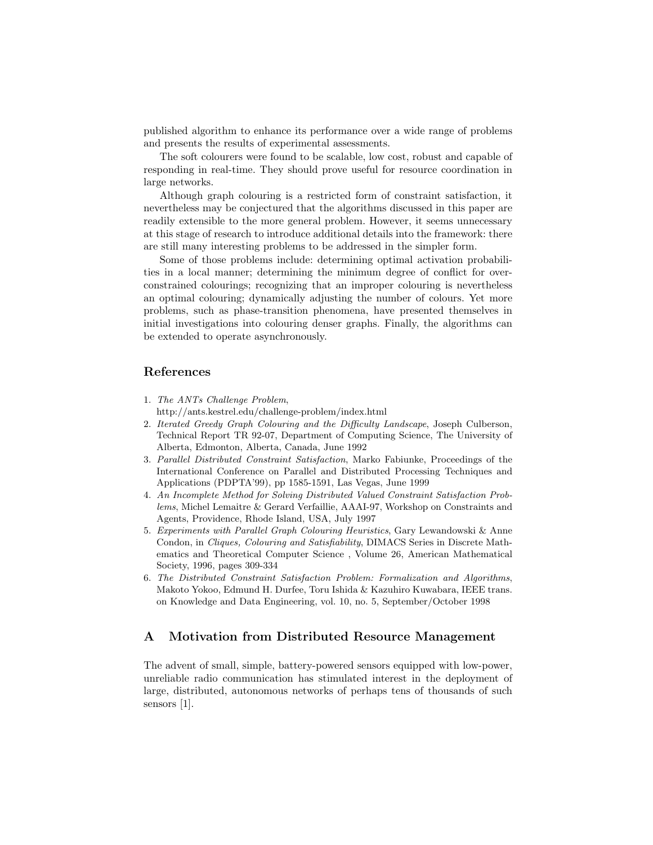published algorithm to enhance its performance over a wide range of problems and presents the results of experimental assessments.

The soft colourers were found to be scalable, low cost, robust and capable of responding in real-time. They should prove useful for resource coordination in large networks.

Although graph colouring is a restricted form of constraint satisfaction, it nevertheless may be conjectured that the algorithms discussed in this paper are readily extensible to the more general problem. However, it seems unnecessary at this stage of research to introduce additional details into the framework: there are still many interesting problems to be addressed in the simpler form.

Some of those problems include: determining optimal activation probabilities in a local manner; determining the minimum degree of conflict for overconstrained colourings; recognizing that an improper colouring is nevertheless an optimal colouring; dynamically adjusting the number of colours. Yet more problems, such as phase-transition phenomena, have presented themselves in initial investigations into colouring denser graphs. Finally, the algorithms can be extended to operate asynchronously.

## References

1. The ANTs Challenge Problem,

http://ants.kestrel.edu/challenge-problem/index.html

- 2. Iterated Greedy Graph Colouring and the Difficulty Landscape, Joseph Culberson, Technical Report TR 92-07, Department of Computing Science, The University of Alberta, Edmonton, Alberta, Canada, June 1992
- 3. Parallel Distributed Constraint Satisfaction, Marko Fabiunke, Proceedings of the International Conference on Parallel and Distributed Processing Techniques and Applications (PDPTA'99), pp 1585-1591, Las Vegas, June 1999
- 4. An Incomplete Method for Solving Distributed Valued Constraint Satisfaction Problems, Michel Lemaitre & Gerard Verfaillie, AAAI-97, Workshop on Constraints and Agents, Providence, Rhode Island, USA, July 1997
- 5. Experiments with Parallel Graph Colouring Heuristics, Gary Lewandowski & Anne Condon, in Cliques, Colouring and Satisfiability, DIMACS Series in Discrete Mathematics and Theoretical Computer Science , Volume 26, American Mathematical Society, 1996, pages 309-334
- 6. The Distributed Constraint Satisfaction Problem: Formalization and Algorithms, Makoto Yokoo, Edmund H. Durfee, Toru Ishida & Kazuhiro Kuwabara, IEEE trans. on Knowledge and Data Engineering, vol. 10, no. 5, September/October 1998

# A Motivation from Distributed Resource Management

The advent of small, simple, battery-powered sensors equipped with low-power, unreliable radio communication has stimulated interest in the deployment of large, distributed, autonomous networks of perhaps tens of thousands of such sensors [1].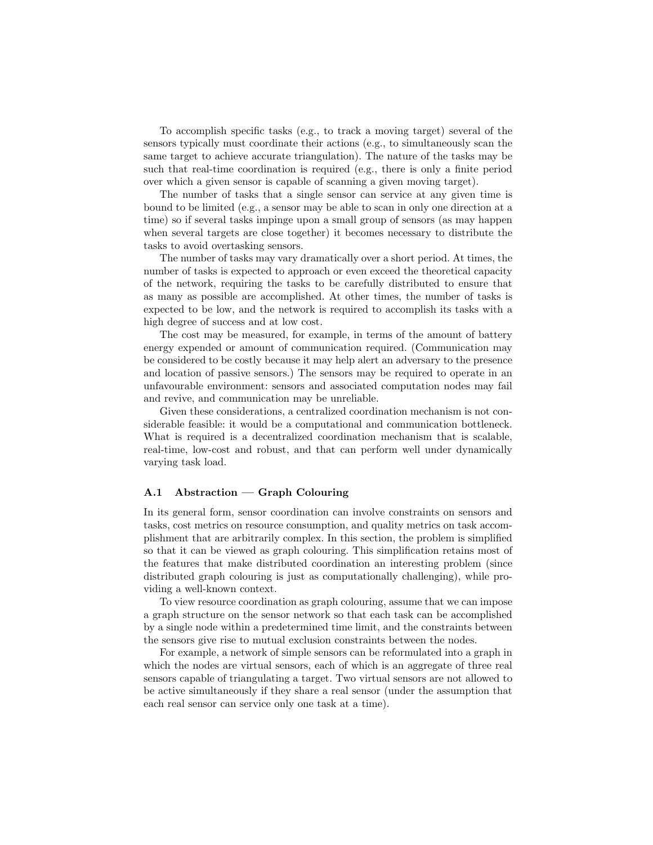To accomplish specific tasks (e.g., to track a moving target) several of the sensors typically must coordinate their actions (e.g., to simultaneously scan the same target to achieve accurate triangulation). The nature of the tasks may be such that real-time coordination is required (e.g., there is only a finite period over which a given sensor is capable of scanning a given moving target).

The number of tasks that a single sensor can service at any given time is bound to be limited (e.g., a sensor may be able to scan in only one direction at a time) so if several tasks impinge upon a small group of sensors (as may happen when several targets are close together) it becomes necessary to distribute the tasks to avoid overtasking sensors.

The number of tasks may vary dramatically over a short period. At times, the number of tasks is expected to approach or even exceed the theoretical capacity of the network, requiring the tasks to be carefully distributed to ensure that as many as possible are accomplished. At other times, the number of tasks is expected to be low, and the network is required to accomplish its tasks with a high degree of success and at low cost.

The cost may be measured, for example, in terms of the amount of battery energy expended or amount of communication required. (Communication may be considered to be costly because it may help alert an adversary to the presence and location of passive sensors.) The sensors may be required to operate in an unfavourable environment: sensors and associated computation nodes may fail and revive, and communication may be unreliable.

Given these considerations, a centralized coordination mechanism is not considerable feasible: it would be a computational and communication bottleneck. What is required is a decentralized coordination mechanism that is scalable, real-time, low-cost and robust, and that can perform well under dynamically varying task load.

### A.1 Abstraction — Graph Colouring

In its general form, sensor coordination can involve constraints on sensors and tasks, cost metrics on resource consumption, and quality metrics on task accomplishment that are arbitrarily complex. In this section, the problem is simplified so that it can be viewed as graph colouring. This simplification retains most of the features that make distributed coordination an interesting problem (since distributed graph colouring is just as computationally challenging), while providing a well-known context.

To view resource coordination as graph colouring, assume that we can impose a graph structure on the sensor network so that each task can be accomplished by a single node within a predetermined time limit, and the constraints between the sensors give rise to mutual exclusion constraints between the nodes.

For example, a network of simple sensors can be reformulated into a graph in which the nodes are virtual sensors, each of which is an aggregate of three real sensors capable of triangulating a target. Two virtual sensors are not allowed to be active simultaneously if they share a real sensor (under the assumption that each real sensor can service only one task at a time).